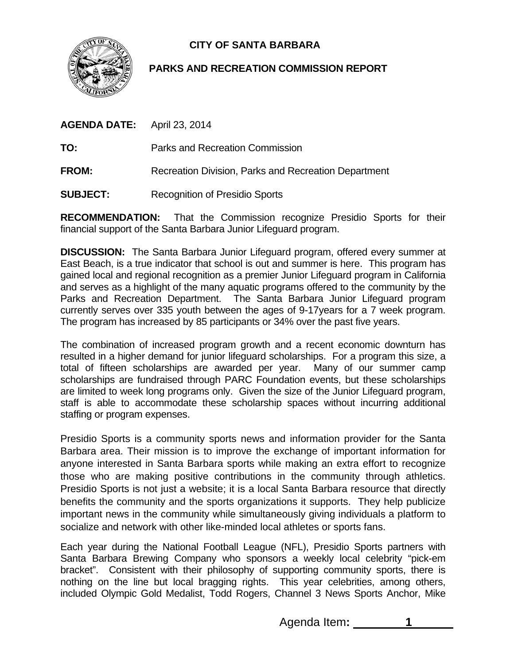

## **CITY OF SANTA BARBARA**

## **PARKS AND RECREATION COMMISSION REPORT**

**TO:** Parks and Recreation Commission

- **FROM:** Recreation Division, Parks and Recreation Department
- **SUBJECT:** Recognition of Presidio Sports

**RECOMMENDATION:** That the Commission recognize Presidio Sports for their financial support of the Santa Barbara Junior Lifeguard program.

**DISCUSSION:** The Santa Barbara Junior Lifeguard program, offered every summer at East Beach, is a true indicator that school is out and summer is here. This program has gained local and regional recognition as a premier Junior Lifeguard program in California and serves as a highlight of the many aquatic programs offered to the community by the Parks and Recreation Department. The Santa Barbara Junior Lifeguard program currently serves over 335 youth between the ages of 9-17years for a 7 week program. The program has increased by 85 participants or 34% over the past five years.

The combination of increased program growth and a recent economic downturn has resulted in a higher demand for junior lifeguard scholarships. For a program this size, a total of fifteen scholarships are awarded per year. Many of our summer camp scholarships are fundraised through PARC Foundation events, but these scholarships are limited to week long programs only. Given the size of the Junior Lifeguard program, staff is able to accommodate these scholarship spaces without incurring additional staffing or program expenses.

Presidio Sports is a community sports news and information provider for the Santa Barbara area. Their mission is to improve the exchange of important information for anyone interested in Santa Barbara sports while making an extra effort to recognize those who are making positive contributions in the community through athletics. Presidio Sports is not just a website; it is a local Santa Barbara resource that directly benefits the community and the sports organizations it supports. They help publicize important news in the community while simultaneously giving individuals a platform to socialize and network with other like-minded local athletes or sports fans.

Each year during the National Football League (NFL), Presidio Sports partners with Santa Barbara Brewing Company who sponsors a weekly local celebrity "pick-em bracket". Consistent with their philosophy of supporting community sports, there is nothing on the line but local bragging rights. This year celebrities, among others, included Olympic Gold Medalist, Todd Rogers, Channel 3 News Sports Anchor, Mike

Agenda Item: 1